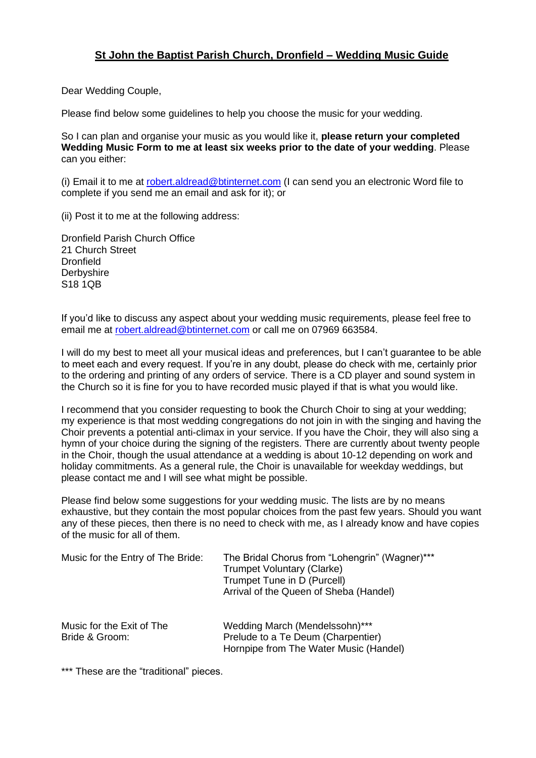## **St John the Baptist Parish Church, Dronfield – Wedding Music Guide**

Dear Wedding Couple,

Please find below some guidelines to help you choose the music for your wedding.

So I can plan and organise your music as you would like it, **please return your completed Wedding Music Form to me at least six weeks prior to the date of your wedding**. Please can you either:

(i) Email it to me at [robert.aldread@btinternet.com](mailto:robert.aldread@btinternet.com) (I can send you an electronic Word file to complete if you send me an email and ask for it); or

(ii) Post it to me at the following address:

Dronfield Parish Church Office 21 Church Street **Dronfield Derbyshire** S18 1QB

If you'd like to discuss any aspect about your wedding music requirements, please feel free to email me at [robert.aldread@btinternet.com](mailto:robert.aldread@btinternet.com) or call me on 07969 663584.

I will do my best to meet all your musical ideas and preferences, but I can't guarantee to be able to meet each and every request. If you're in any doubt, please do check with me, certainly prior to the ordering and printing of any orders of service. There is a CD player and sound system in the Church so it is fine for you to have recorded music played if that is what you would like.

I recommend that you consider requesting to book the Church Choir to sing at your wedding; my experience is that most wedding congregations do not join in with the singing and having the Choir prevents a potential anti-climax in your service. If you have the Choir, they will also sing a hymn of your choice during the signing of the registers. There are currently about twenty people in the Choir, though the usual attendance at a wedding is about 10-12 depending on work and holiday commitments. As a general rule, the Choir is unavailable for weekday weddings, but please contact me and I will see what might be possible.

Please find below some suggestions for your wedding music. The lists are by no means exhaustive, but they contain the most popular choices from the past few years. Should you want any of these pieces, then there is no need to check with me, as I already know and have copies of the music for all of them.

| Music for the Entry of The Bride:           | The Bridal Chorus from "Lohengrin" (Wagner)***<br>Trumpet Voluntary (Clarke)<br>Trumpet Tune in D (Purcell)<br>Arrival of the Queen of Sheba (Handel) |
|---------------------------------------------|-------------------------------------------------------------------------------------------------------------------------------------------------------|
| Music for the Exit of The<br>Bride & Groom: | Wedding March (Mendelssohn)***<br>Prelude to a Te Deum (Charpentier)<br>Hornpipe from The Water Music (Handel)                                        |

\*\*\* These are the "traditional" pieces.